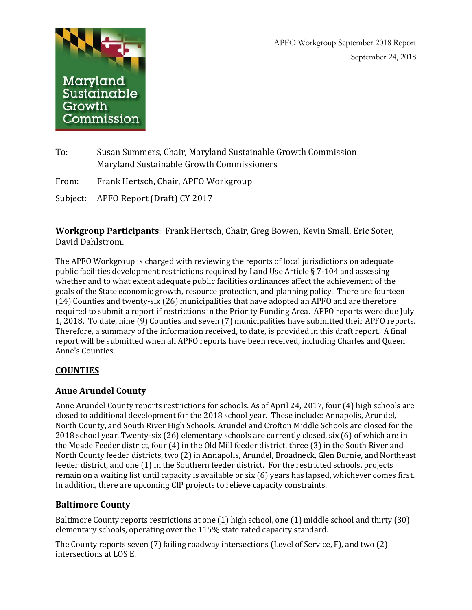APFO Workgroup September 2018 Report September 24, 2018



To: Susan Summers, Chair, Maryland Sustainable Growth Commission Maryland Sustainable Growth Commissioners

From: Frank Hertsch, Chair, APFO Workgroup

Subject: APFO Report (Draft) CY 2017

**Workgroup Participants**: Frank Hertsch, Chair, Greg Bowen, Kevin Small, Eric Soter, David Dahlstrom.

The APFO Workgroup is charged with reviewing the reports of local jurisdictions on adequate public facilities development restrictions required by Land Use Article § 7-104 and assessing whether and to what extent adequate public facilities ordinances affect the achievement of the goals of the State economic growth, resource protection, and planning policy. There are fourteen (14) Counties and twenty-six (26) municipalities that have adopted an APFO and are therefore required to submit a report if restrictions in the Priority Funding Area. APFO reports were due July 1, 2018. To date, nine (9) Counties and seven (7) municipalities have submitted their APFO reports. Therefore, a summary of the information received, to date, is provided in this draft report. A final report will be submitted when all APFO reports have been received, including Charles and Queen Anne's Counties.

## **COUNTIES**

## **Anne Arundel County**

Anne Arundel County reports restrictions for schools. As of April 24, 2017, four (4) high schools are closed to additional development for the 2018 school year. These include: Annapolis, Arundel, North County, and South River High Schools. Arundel and Crofton Middle Schools are closed for the 2018 school year. Twenty-six (26) elementary schools are currently closed, six (6) of which are in the Meade Feeder district, four (4) in the Old Mill feeder district, three (3) in the South River and North County feeder districts, two (2) in Annapolis, Arundel, Broadneck, Glen Burnie, and Northeast feeder district, and one (1) in the Southern feeder district. For the restricted schools, projects remain on a waiting list until capacity is available or six (6) years has lapsed, whichever comes first. In addition, there are upcoming CIP projects to relieve capacity constraints.

# **Baltimore County**

Baltimore County reports restrictions at one (1) high school, one (1) middle school and thirty (30) elementary schools, operating over the 115% state rated capacity standard.

The County reports seven (7) failing roadway intersections (Level of Service, F), and two (2) intersections at LOS E.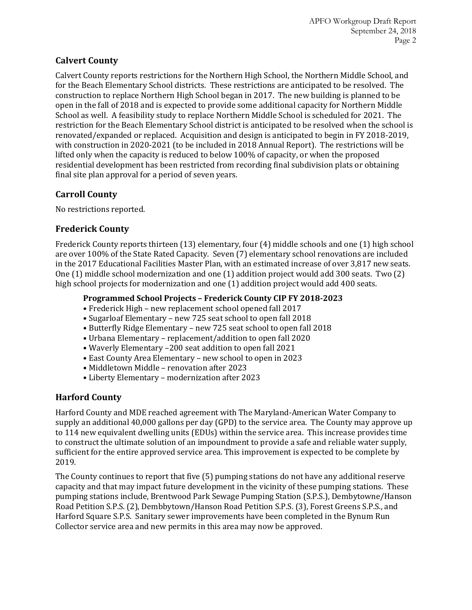## **Calvert County**

Calvert County reports restrictions for the Northern High School, the Northern Middle School, and for the Beach Elementary School districts. These restrictions are anticipated to be resolved. The construction to replace Northern High School began in 2017. The new building is planned to be open in the fall of 2018 and is expected to provide some additional capacity for Northern Middle School as well. A feasibility study to replace Northern Middle School is scheduled for 2021. The restriction for the Beach Elementary School district is anticipated to be resolved when the school is renovated/expanded or replaced. Acquisition and design is anticipated to begin in FY 2018-2019, with construction in 2020-2021 (to be included in 2018 Annual Report). The restrictions will be lifted only when the capacity is reduced to below 100% of capacity, or when the proposed residential development has been restricted from recording final subdivision plats or obtaining final site plan approval for a period of seven years.

## **Carroll County**

No restrictions reported.

## **Frederick County**

Frederick County reports thirteen (13) elementary, four (4) middle schools and one (1) high school are over 100% of the State Rated Capacity. Seven (7) elementary school renovations are included in the 2017 Educational Facilities Master Plan, with an estimated increase of over 3,817 new seats. One (1) middle school modernization and one (1) addition project would add 300 seats. Two (2) high school projects for modernization and one (1) addition project would add 400 seats.

### **Programmed School Projects – Frederick County CIP FY 2018-2023**

- Frederick High new replacement school opened fall 2017
- Sugarloaf Elementary new 725 seat school to open fall 2018
- Butterfly Ridge Elementary new 725 seat school to open fall 2018
- Urbana Elementary replacement/addition to open fall 2020
- Waverly Elementary –200 seat addition to open fall 2021
- East County Area Elementary new school to open in 2023
- Middletown Middle renovation after 2023
- Liberty Elementary modernization after 2023

## **Harford County**

Harford County and MDE reached agreement with The Maryland-American Water Company to supply an additional 40,000 gallons per day (GPD) to the service area. The County may approve up to 114 new equivalent dwelling units (EDUs) within the service area. This increase provides time to construct the ultimate solution of an impoundment to provide a safe and reliable water supply, sufficient for the entire approved service area. This improvement is expected to be complete by 2019.

The County continues to report that five (5) pumping stations do not have any additional reserve capacity and that may impact future development in the vicinity of these pumping stations. These pumping stations include, Brentwood Park Sewage Pumping Station (S.P.S.), Dembytowne/Hanson Road Petition S.P.S. (2), Dembbytown/Hanson Road Petition S.P.S. (3), Forest Greens S.P.S., and Harford Square S.P.S. Sanitary sewer improvements have been completed in the Bynum Run Collector service area and new permits in this area may now be approved.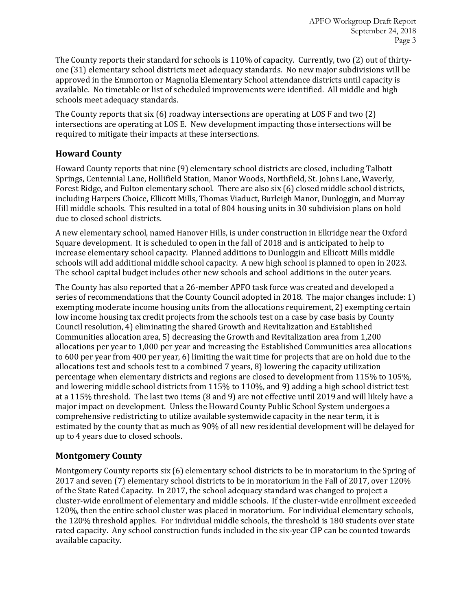The County reports their standard for schools is 110% of capacity. Currently, two (2) out of thirtyone (31) elementary school districts meet adequacy standards. No new major subdivisions will be approved in the Emmorton or Magnolia Elementary School attendance districts until capacity is available. No timetable or list of scheduled improvements were identified. All middle and high schools meet adequacy standards.

The County reports that six (6) roadway intersections are operating at LOS F and two (2) intersections are operating at LOS E. New development impacting those intersections will be required to mitigate their impacts at these intersections.

# **Howard County**

Howard County reports that nine (9) elementary school districts are closed, including Talbott Springs, Centennial Lane, Hollifield Station, Manor Woods, Northfield, St. Johns Lane, Waverly, Forest Ridge, and Fulton elementary school. There are also six (6) closed middle school districts, including Harpers Choice, Ellicott Mills, Thomas Viaduct, Burleigh Manor, Dunloggin, and Murray Hill middle schools. This resulted in a total of 804 housing units in 30 subdivision plans on hold due to closed school districts.

A new elementary school, named Hanover Hills, is under construction in Elkridge near the Oxford Square development. It is scheduled to open in the fall of 2018 and is anticipated to help to increase elementary school capacity. Planned additions to Dunloggin and Ellicott Mills middle schools will add additional middle school capacity. A new high school is planned to open in 2023. The school capital budget includes other new schools and school additions in the outer years.

The County has also reported that a 26-member APFO task force was created and developed a series of recommendations that the County Council adopted in 2018. The major changes include: 1) exempting moderate income housing units from the allocations requirement, 2) exempting certain low income housing tax credit projects from the schools test on a case by case basis by County Council resolution, 4) eliminating the shared Growth and Revitalization and Established Communities allocation area, 5) decreasing the Growth and Revitalization area from 1,200 allocations per year to 1,000 per year and increasing the Established Communities area allocations to 600 per year from 400 per year, 6) limiting the wait time for projects that are on hold due to the allocations test and schools test to a combined 7 years, 8) lowering the capacity utilization percentage when elementary districts and regions are closed to development from 115% to 105%, and lowering middle school districts from 115% to 110%, and 9) adding a high school district test at a 115% threshold. The last two items (8 and 9) are not effective until 2019 and will likely have a major impact on development. Unless the Howard County Public School System undergoes a comprehensive redistricting to utilize available systemwide capacity in the near term, it is estimated by the county that as much as 90% of all new residential development will be delayed for up to 4 years due to closed schools.

# **Montgomery County**

Montgomery County reports six (6) elementary school districts to be in moratorium in the Spring of 2017 and seven (7) elementary school districts to be in moratorium in the Fall of 2017, over 120% of the State Rated Capacity. In 2017, the school adequacy standard was changed to project a cluster-wide enrollment of elementary and middle schools. If the cluster-wide enrollment exceeded 120%, then the entire school cluster was placed in moratorium. For individual elementary schools, the 120% threshold applies. For individual middle schools, the threshold is 180 students over state rated capacity. Any school construction funds included in the six-year CIP can be counted towards available capacity.